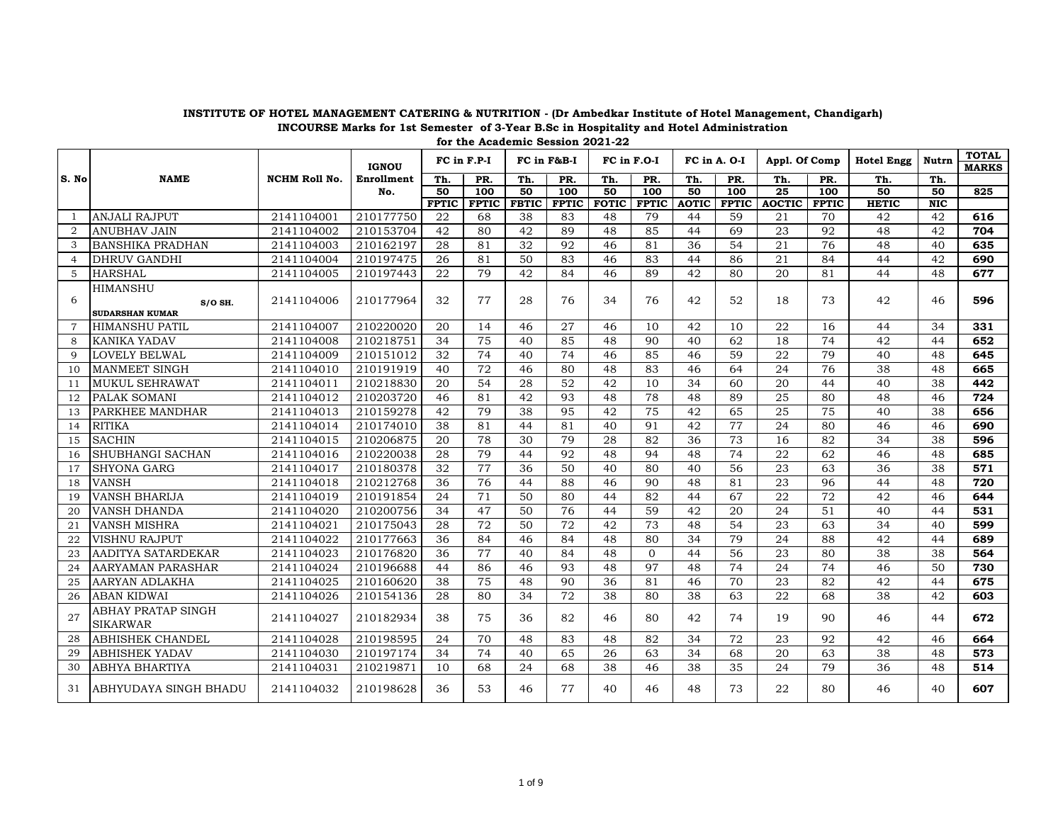|                |                                                        |                      | <b>IGNOU</b> |              | FC in F.P-I      |              | FC in F&B-I      | FC in F.O-I  |              | FC in A. O-I |              | Appl. Of Comp   |              | <b>Hotel Engg</b> | Nutrn                   | <b>TOTAL</b><br><b>MARKS</b> |
|----------------|--------------------------------------------------------|----------------------|--------------|--------------|------------------|--------------|------------------|--------------|--------------|--------------|--------------|-----------------|--------------|-------------------|-------------------------|------------------------------|
| S. No          | <b>NAME</b>                                            | <b>NCHM Roll No.</b> | Enrollment   | Th.          | PR.              | Th.          | PR.              | Th.          | PR.          | Th.          | PR.          | Th.             | PR.          | Th.               | Th.                     |                              |
|                |                                                        |                      | No.          | 50           | $\overline{100}$ | 50           | $\overline{100}$ | 50           | 100          | 50           | 100          | $\overline{25}$ | 100          | 50                | 50                      | 825                          |
|                |                                                        |                      |              | <b>FPTIC</b> | <b>FPTIC</b>     | <b>FBTIC</b> | <b>FPTIC</b>     | <b>FOTIC</b> | <b>FPTIC</b> | <b>AOTIC</b> | <b>FPTIC</b> | <b>AOCTIC</b>   | <b>FPTIC</b> | <b>HETIC</b>      | $\overline{\text{NIC}}$ |                              |
| -1             | <b>ANJALI RAJPUT</b>                                   | 2141104001           | 210177750    | 22           | 68               | 38           | 83               | 48           | 79           | 44           | 59           | 21              | 70           | 42                | 42                      | 616                          |
| 2              | <b>ANUBHAV JAIN</b>                                    | 2141104002           | 210153704    | 42           | 80               | 42           | 89               | 48           | 85           | 44           | 69           | 23              | 92           | 48                | 42                      | 704                          |
| 3              | <b>BANSHIKA PRADHAN</b>                                | 2141104003           | 210162197    | 28           | 81               | 32           | 92               | 46           | 81           | 36           | 54           | 21              | 76           | 48                | 40                      | 635                          |
| $\overline{4}$ | <b>DHRUV GANDHI</b>                                    | 2141104004           | 210197475    | 26           | 81               | 50           | 83               | 46           | 83           | 44           | 86           | 21              | 84           | 44                | 42                      | 690                          |
| 5              | <b>HARSHAL</b>                                         | 2141104005           | 210197443    | 22           | 79               | 42           | 84               | 46           | 89           | 42           | 80           | 20              | 81           | 44                | 48                      | 677                          |
| 6              | <b>HIMANSHU</b><br>$S/O$ SH.<br><b>SUDARSHAN KUMAR</b> | 2141104006           | 210177964    | 32           | 77               | 28           | 76               | 34           | 76           | 42           | 52           | 18              | 73           | 42                | 46                      | 596                          |
| $\overline{7}$ | HIMANSHU PATIL                                         | 2141104007           | 210220020    | 20           | 14               | 46           | 27               | 46           | 10           | 42           | 10           | 22              | 16           | 44                | 34                      | 331                          |
| 8              | <b>KANIKA YADAV</b>                                    | 2141104008           | 210218751    | 34           | 75               | 40           | 85               | 48           | 90           | 40           | 62           | 18              | 74           | 42                | 44                      | 652                          |
| 9              | <b>LOVELY BELWAL</b>                                   | 2141104009           | 210151012    | 32           | 74               | 40           | 74               | 46           | 85           | 46           | 59           | 22              | 79           | 40                | 48                      | 645                          |
| 10             | <b>MANMEET SINGH</b>                                   | 2141104010           | 210191919    | 40           | 72               | 46           | 80               | 48           | 83           | 46           | 64           | 24              | 76           | 38                | 48                      | 665                          |
| 11             | <b>MUKUL SEHRAWAT</b>                                  | 2141104011           | 210218830    | 20           | 54               | 28           | 52               | 42           | 10           | 34           | 60           | 20              | 44           | 40                | 38                      | 442                          |
| 12             | PALAK SOMANI                                           | 2141104012           | 210203720    | 46           | 81               | 42           | 93               | 48           | 78           | 48           | 89           | 25              | 80           | 48                | 46                      | 724                          |
| 13             | PARKHEE MANDHAR                                        | 2141104013           | 210159278    | 42           | 79               | 38           | 95               | 42           | 75           | 42           | 65           | 25              | 75           | 40                | 38                      | 656                          |
| 14             | <b>RITIKA</b>                                          | 2141104014           | 210174010    | 38           | 81               | 44           | 81               | 40           | 91           | 42           | 77           | 24              | 80           | 46                | 46                      | 690                          |
| 15             | <b>SACHIN</b>                                          | 2141104015           | 210206875    | 20           | 78               | 30           | 79               | 28           | 82           | 36           | 73           | 16              | 82           | 34                | 38                      | 596                          |
| 16             | SHUBHANGI SACHAN                                       | 2141104016           | 210220038    | 28           | 79               | 44           | 92               | 48           | 94           | 48           | 74           | 22              | 62           | 46                | 48                      | 685                          |
| 17             | <b>SHYONA GARG</b>                                     | 2141104017           | 210180378    | 32           | 77               | 36           | 50               | 40           | 80           | 40           | 56           | 23              | 63           | 36                | 38                      | 571                          |
| 18             | <b>VANSH</b>                                           | 2141104018           | 210212768    | 36           | 76               | 44           | 88               | 46           | 90           | 48           | 81           | 23              | 96           | 44                | 48                      | 720                          |
| 19             | <b>VANSH BHARIJA</b>                                   | 2141104019           | 210191854    | 24           | 71               | 50           | 80               | 44           | 82           | 44           | 67           | 22              | 72           | 42                | 46                      | 644                          |
| 20             | VANSH DHANDA                                           | 2141104020           | 210200756    | 34           | 47               | 50           | 76               | 44           | 59           | 42           | 20           | 24              | 51           | 40                | 44                      | 531                          |
| 21             | <b>VANSH MISHRA</b>                                    | 2141104021           | 210175043    | 28           | 72               | 50           | 72               | 42           | 73           | 48           | 54           | 23              | 63           | 34                | 40                      | 599                          |
| 22             | <b>VISHNU RAJPUT</b>                                   | 2141104022           | 210177663    | 36           | 84               | 46           | 84               | 48           | 80           | 34           | 79           | 24              | 88           | 42                | 44                      | 689                          |
| 23             | AADITYA SATARDEKAR                                     | 2141104023           | 210176820    | 36           | 77               | 40           | 84               | 48           | $\Omega$     | 44           | 56           | 23              | 80           | 38                | 38                      | 564                          |
| 24             | <b>AARYAMAN PARASHAR</b>                               | 2141104024           | 210196688    | 44           | 86               | 46           | 93               | 48           | 97           | 48           | 74           | 24              | 74           | 46                | 50                      | 730                          |
| 25             | <b>AARYAN ADLAKHA</b>                                  | 2141104025           | 210160620    | 38           | 75               | 48           | 90               | 36           | 81           | 46           | 70           | 23              | 82           | 42                | 44                      | 675                          |
| 26             | <b>ABAN KIDWAI</b>                                     | 2141104026           | 210154136    | 28           | 80               | 34           | 72               | 38           | 80           | 38           | 63           | 22              | 68           | 38                | 42                      | 603                          |
| 27             | ABHAY PRATAP SINGH<br><b>SIKARWAR</b>                  | 2141104027           | 210182934    | 38           | 75               | 36           | 82               | 46           | 80           | 42           | 74           | 19              | 90           | 46                | 44                      | 672                          |
| 28             | <b>ABHISHEK CHANDEL</b>                                | 2141104028           | 210198595    | 24           | 70               | 48           | 83               | 48           | 82           | 34           | 72           | 23              | 92           | 42                | 46                      | 664                          |
| 29             | <b>ABHISHEK YADAV</b>                                  | 2141104030           | 210197174    | 34           | 74               | 40           | 65               | 26           | 63           | 34           | 68           | 20              | 63           | 38                | 48                      | 573                          |
| 30             | ABHYA BHARTIYA                                         | 2141104031           | 210219871    | 10           | 68               | 24           | 68               | 38           | 46           | 38           | 35           | 24              | 79           | 36                | 48                      | 514                          |
| 31             | ABHYUDAYA SINGH BHADU                                  | 2141104032           | 210198628    | 36           | 53               | 46           | 77               | 40           | 46           | 48           | 73           | 22              | 80           | 46                | 40                      | 607                          |

1 of 9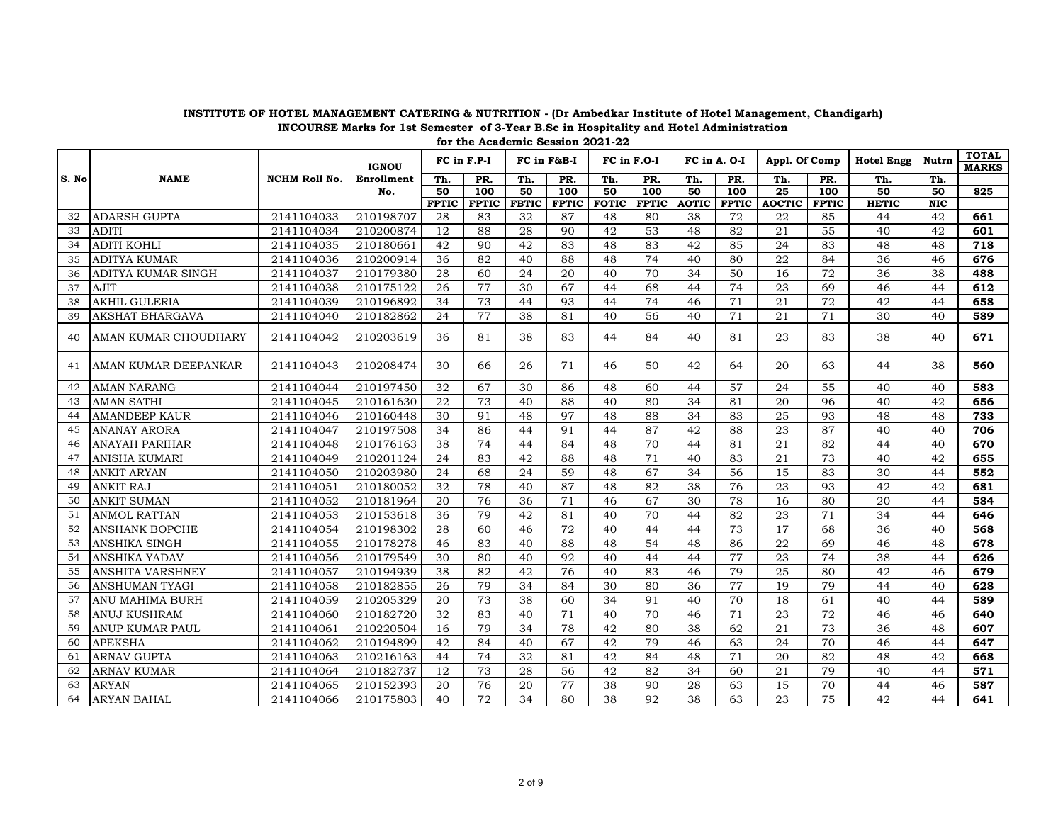|       |                        |                      | <b>IGNOU</b> |              | FC in F.P-I  |              | FC in F&B-I  | FC in F.O-I  |              |              | FC in A. O-I | Appl. Of Comp |              | <b>Hotel Engg</b> | Nutrn      | <b>TOTAL</b><br><b>MARKS</b> |
|-------|------------------------|----------------------|--------------|--------------|--------------|--------------|--------------|--------------|--------------|--------------|--------------|---------------|--------------|-------------------|------------|------------------------------|
| S. No | <b>NAME</b>            | <b>NCHM Roll No.</b> | Enrollment   | Th.          | PR.          | Th.          | PR.          | Th.          | PR.          | Th.          | PR.          | Th.           | PR.          | Th.               | Th.        |                              |
|       |                        |                      | No.          | 50           | 100          | 50           | 100          | 50           | 100          | 50           | 100          | 25            | 100          | 50                | 50         | 825                          |
|       |                        |                      |              | <b>FPTIC</b> | <b>FPTIC</b> | <b>FBTIC</b> | <b>FPTIC</b> | <b>FOTIC</b> | <b>FPTIC</b> | <b>AOTIC</b> | <b>FPTIC</b> | <b>AOCTIC</b> | <b>FPTIC</b> | <b>HETIC</b>      | <b>NIC</b> |                              |
| 32    | <b>ADARSH GUPTA</b>    | 2141104033           | 210198707    | 28           | 83           | 32           | 87           | 48           | 80           | 38           | 72           | 22            | 85           | 44                | 42         | 661                          |
| 33    | <b>ADITI</b>           | 2141104034           | 210200874    | 12           | 88           | 28           | 90           | 42           | 53           | 48           | 82           | 21            | 55           | 40                | 42         | 601                          |
| 34    | <b>ADITI KOHLI</b>     | 2141104035           | 210180661    | 42           | 90           | 42           | 83           | 48           | 83           | 42           | 85           | 24            | 83           | 48                | 48         | 718                          |
| 35    | <b>ADITYA KUMAR</b>    | 2141104036           | 210200914    | 36           | 82           | 40           | 88           | 48           | 74           | 40           | 80           | 22            | 84           | 36                | 46         | 676                          |
| 36    | ADITYA KUMAR SINGH     | 2141104037           | 210179380    | 28           | 60           | 24           | 20           | 40           | 70           | 34           | 50           | 16            | 72           | 36                | 38         | 488                          |
| 37    | <b>AJIT</b>            | 2141104038           | 210175122    | 26           | 77           | 30           | 67           | 44           | 68           | 44           | 74           | 23            | 69           | 46                | 44         | 612                          |
| 38    | <b>AKHIL GULERIA</b>   | 2141104039           | 210196892    | 34           | 73           | 44           | 93           | 44           | 74           | 46           | 71           | 21            | 72           | 42                | 44         | 658                          |
| 39    | <b>AKSHAT BHARGAVA</b> | 2141104040           | 210182862    | 24           | 77           | 38           | 81           | 40           | 56           | 40           | 71           | 21            | 71           | 30                | 40         | 589                          |
| 40    | AMAN KUMAR CHOUDHARY   | 2141104042           | 210203619    | 36           | 81           | 38           | 83           | 44           | 84           | 40           | 81           | 23            | 83           | 38                | 40         | 671                          |
| 41    | IAMAN KUMAR DEEPANKAR  | 2141104043           | 210208474    | 30           | 66           | 26           | 71           | 46           | 50           | 42           | 64           | 20            | 63           | 44                | 38         | 560                          |
| 42    | <b>AMAN NARANG</b>     | 2141104044           | 210197450    | 32           | 67           | 30           | 86           | 48           | 60           | 44           | 57           | 24            | 55           | 40                | 40         | 583                          |
| 43    | <b>AMAN SATHI</b>      | 2141104045           | 210161630    | 22           | 73           | 40           | 88           | 40           | 80           | 34           | 81           | 20            | 96           | 40                | 42         | 656                          |
| 44    | <b>AMANDEEP KAUR</b>   | 2141104046           | 210160448    | 30           | 91           | 48           | 97           | 48           | 88           | 34           | 83           | 25            | 93           | 48                | 48         | 733                          |
| 45    | <b>ANANAY ARORA</b>    | 2141104047           | 210197508    | 34           | 86           | 44           | 91           | 44           | 87           | 42           | 88           | 23            | 87           | 40                | 40         | 706                          |
| 46    | <b>ANAYAH PARIHAR</b>  | 2141104048           | 210176163    | 38           | 74           | 44           | 84           | 48           | 70           | 44           | 81           | 21            | 82           | 44                | 40         | 670                          |
| 47    | <b>ANISHA KUMARI</b>   | 2141104049           | 210201124    | 24           | 83           | 42           | 88           | 48           | 71           | 40           | 83           | 21            | 73           | 40                | 42         | 655                          |
| 48    | <b>ANKIT ARYAN</b>     | 2141104050           | 210203980    | 24           | 68           | 24           | 59           | 48           | 67           | 34           | 56           | 15            | 83           | 30                | 44         | 552                          |
| 49    | <b>ANKIT RAJ</b>       | 2141104051           | 210180052    | 32           | 78           | 40           | 87           | 48           | 82           | 38           | 76           | 23            | 93           | 42                | 42         | 681                          |
| 50    | <b>ANKIT SUMAN</b>     | 2141104052           | 210181964    | 20           | 76           | 36           | 71           | 46           | 67           | 30           | 78           | 16            | 80           | 20                | 44         | 584                          |
| 51    | <b>ANMOL RATTAN</b>    | 2141104053           | 210153618    | 36           | 79           | 42           | 81           | 40           | 70           | 44           | 82           | 23            | 71           | 34                | 44         | 646                          |
| 52    | <b>ANSHANK BOPCHE</b>  | 2141104054           | 210198302    | 28           | 60           | 46           | 72           | 40           | 44           | 44           | 73           | 17            | 68           | 36                | 40         | 568                          |
| 53    | <b>ANSHIKA SINGH</b>   | 2141104055           | 210178278    | 46           | 83           | 40           | 88           | 48           | 54           | 48           | 86           | 22            | 69           | 46                | 48         | 678                          |
| 54    | <b>ANSHIKA YADAV</b>   | 2141104056           | 210179549    | 30           | 80           | 40           | 92           | 40           | 44           | 44           | 77           | 23            | 74           | 38                | 44         | 626                          |
| 55    | ANSHITA VARSHNEY       | 2141104057           | 210194939    | 38           | 82           | 42           | 76           | 40           | 83           | 46           | 79           | 25            | 80           | 42                | 46         | 679                          |
| 56    | <b>ANSHUMAN TYAGI</b>  | 2141104058           | 210182855    | 26           | 79           | 34           | 84           | 30           | 80           | 36           | 77           | 19            | 79           | 44                | 40         | 628                          |
| 57    | <b>ANU MAHIMA BURH</b> | 2141104059           | 210205329    | 20           | 73           | 38           | 60           | 34           | 91           | 40           | 70           | 18            | 61           | 40                | 44         | 589                          |
| 58    | <b>ANUJ KUSHRAM</b>    | 2141104060           | 210182720    | 32           | 83           | 40           | 71           | 40           | 70           | 46           | 71           | 23            | 72           | 46                | 46         | 640                          |
| 59    | ANUP KUMAR PAUL        | 2141104061           | 210220504    | 16           | 79           | 34           | 78           | 42           | 80           | 38           | 62           | 21            | 73           | 36                | 48         | 607                          |
| 60    | <b>APEKSHA</b>         | 2141104062           | 210194899    | 42           | 84           | 40           | 67           | 42           | 79           | 46           | 63           | 24            | 70           | 46                | 44         | 647                          |
| 61    | <b>ARNAV GUPTA</b>     | 2141104063           | 210216163    | 44           | 74           | 32           | 81           | 42           | 84           | 48           | 71           | 20            | 82           | 48                | 42         | 668                          |
| 62    | <b>ARNAV KUMAR</b>     | 2141104064           | 210182737    | 12           | 73           | 28           | 56           | 42           | 82           | 34           | 60           | 21            | 79           | 40                | 44         | 571                          |
| 63    | <b>ARYAN</b>           | 2141104065           | 210152393    | 20           | 76           | 20           | 77           | 38           | 90           | 28           | 63           | 15            | 70           | 44                | 46         | 587                          |
| 64    | ARYAN BAHAL            | 2141104066           | 210175803    | 40           | 72           | 34           | 80           | 38           | 92           | 38           | 63           | 23            | 75           | 42                | 44         | 641                          |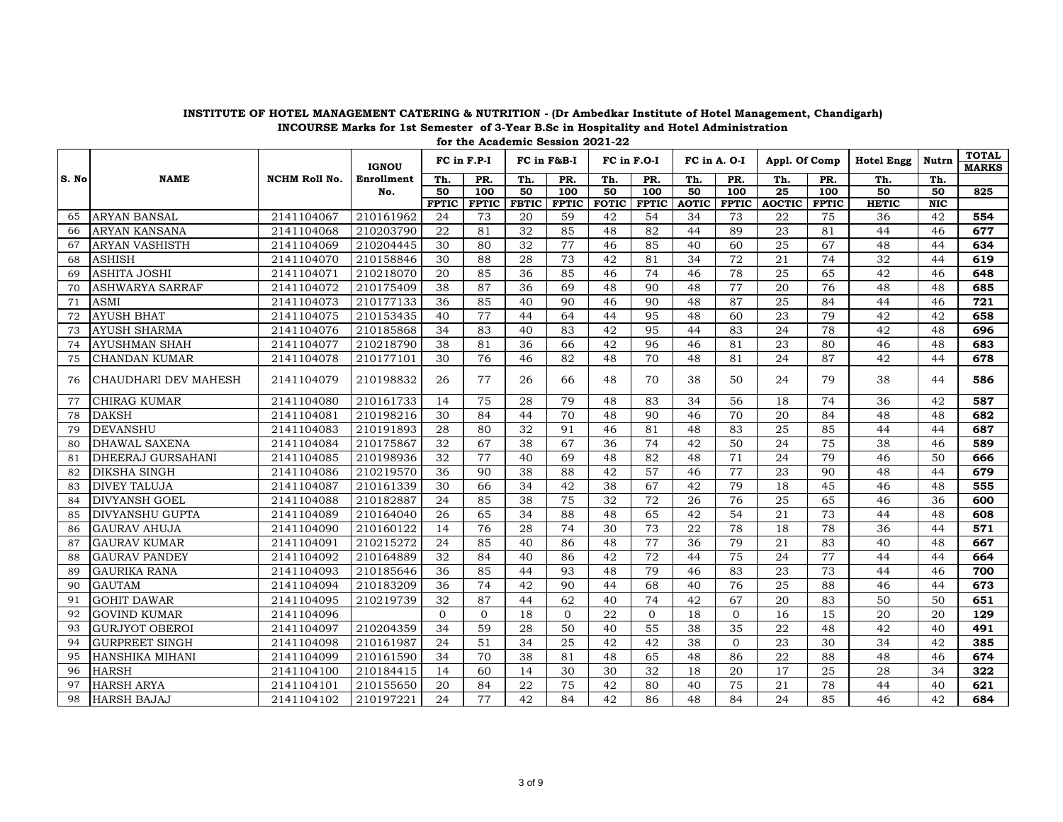|       |                        |                      | <b>IGNOU</b> |              | FC in F.P-I      |              | FC in F&B-I     | FC in F.O-I  |              | FC in A. O-I |                  | Appl. Of Comp   |              | <b>Hotel Engg</b> | Nutrn      | <b>TOTAL</b><br><b>MARKS</b> |
|-------|------------------------|----------------------|--------------|--------------|------------------|--------------|-----------------|--------------|--------------|--------------|------------------|-----------------|--------------|-------------------|------------|------------------------------|
| S. No | <b>NAME</b>            | <b>NCHM Roll No.</b> | Enrollment   | Th.          | PR.              | Th.          | PR.             | Th.          | PR.          | Th.          | PR.              | Th.             | PR.          | Th.               | Th.        |                              |
|       |                        |                      | No.          | 50           | $\overline{100}$ | 50           | 100             | 50           | 100          | 50           | $\overline{100}$ | $\overline{25}$ | 100          | 50                | 50         | 825                          |
|       |                        |                      |              | <b>FPTIC</b> | <b>FPTIC</b>     | <b>FBTIC</b> | <b>FPTIC</b>    | <b>FOTIC</b> | <b>FPTIC</b> | <b>AOTIC</b> | <b>FPTIC</b>     | <b>AOCTIC</b>   | <b>FPTIC</b> | <b>HETIC</b>      | <b>NIC</b> |                              |
| 65    | <b>ARYAN BANSAL</b>    | 2141104067           | 210161962    | 24           | 73               | 20           | 59              | 42           | 54           | 34           | 73               | 22              | 75           | 36                | 42         | 554                          |
| 66    | <b>ARYAN KANSANA</b>   | 2141104068           | 210203790    | 22           | 81               | 32           | 85              | 48           | 82           | 44           | 89               | 23              | 81           | 44                | 46         | 677                          |
| 67    | <b>ARYAN VASHISTH</b>  | 2141104069           | 210204445    | 30           | 80               | 32           | 77              | 46           | 85           | 40           | 60               | 25              | 67           | 48                | 44         | 634                          |
| 68    | <b>ASHISH</b>          | 2141104070           | 210158846    | 30           | 88               | 28           | 73              | 42           | 81           | 34           | 72               | 21              | 74           | 32                | 44         | 619                          |
| 69    | <b>ASHITA JOSHI</b>    | 2141104071           | 210218070    | 20           | 85               | 36           | 85              | 46           | 74           | 46           | 78               | 25              | 65           | 42                | 46         | 648                          |
| 70    | <b>ASHWARYA SARRAF</b> | 2141104072           | 210175409    | 38           | 87               | 36           | 69              | 48           | 90           | 48           | 77               | 20              | 76           | 48                | 48         | 685                          |
| 71    | <b>ASMI</b>            | 2141104073           | 210177133    | 36           | 85               | 40           | 90              | 46           | 90           | 48           | 87               | 25              | 84           | 44                | 46         | 721                          |
| 72    | <b>AYUSH BHAT</b>      | 2141104075           | 210153435    | 40           | 77               | 44           | 64              | 44           | 95           | 48           | 60               | 23              | 79           | 42                | 42         | 658                          |
| 73    | <b>AYUSH SHARMA</b>    | 2141104076           | 210185868    | 34           | 83               | 40           | 83              | 42           | 95           | 44           | 83               | 24              | 78           | 42                | 48         | 696                          |
| 74    | <b>AYUSHMAN SHAH</b>   | 2141104077           | 210218790    | 38           | 81               | 36           | 66              | 42           | 96           | 46           | 81               | 23              | 80           | 46                | 48         | 683                          |
| 75    | <b>CHANDAN KUMAR</b>   | 2141104078           | 210177101    | 30           | 76               | 46           | 82              | 48           | 70           | 48           | 81               | 24              | 87           | 42                | 44         | 678                          |
| 76    | CHAUDHARI DEV MAHESH   | 2141104079           | 210198832    | 26           | 77               | 26           | 66              | 48           | 70           | 38           | 50               | 24              | 79           | 38                | 44         | 586                          |
| 77    | <b>CHIRAG KUMAR</b>    | 2141104080           | 210161733    | 14           | 75               | 28           | 79              | 48           | 83           | 34           | 56               | 18              | 74           | 36                | 42         | 587                          |
| 78    | <b>DAKSH</b>           | 2141104081           | 210198216    | 30           | 84               | 44           | 70              | 48           | 90           | 46           | 70               | 20              | 84           | 48                | 48         | 682                          |
| 79    | <b>DEVANSHU</b>        | 2141104083           | 210191893    | 28           | 80               | 32           | 91              | 46           | 81           | 48           | 83               | 25              | 85           | 44                | 44         | 687                          |
| 80    | <b>DHAWAL SAXENA</b>   | 2141104084           | 210175867    | 32           | 67               | 38           | 67              | 36           | 74           | 42           | 50               | 24              | 75           | 38                | 46         | 589                          |
| 81    | DHEERAJ GURSAHANI      | 2141104085           | 210198936    | 32           | 77               | 40           | 69              | 48           | 82           | 48           | 71               | 24              | 79           | 46                | 50         | 666                          |
| 82    | <b>DIKSHA SINGH</b>    | 2141104086           | 210219570    | 36           | 90               | 38           | 88              | 42           | 57           | 46           | 77               | 23              | 90           | 48                | 44         | 679                          |
| 83    | <b>DIVEY TALUJA</b>    | 2141104087           | 210161339    | 30           | 66               | 34           | 42              | 38           | 67           | 42           | 79               | 18              | 45           | 46                | 48         | 555                          |
| 84    | <b>DIVYANSH GOEL</b>   | 2141104088           | 210182887    | 24           | 85               | 38           | 75              | 32           | 72           | 26           | 76               | 25              | 65           | 46                | 36         | 600                          |
| 85    | <b>DIVYANSHU GUPTA</b> | 2141104089           | 210164040    | 26           | 65               | 34           | 88              | 48           | 65           | 42           | 54               | 21              | 73           | 44                | 48         | 608                          |
| 86    | <b>GAURAV AHUJA</b>    | 2141104090           | 210160122    | 14           | 76               | 28           | 74              | 30           | 73           | 22           | 78               | 18              | 78           | 36                | 44         | 571                          |
| 87    | <b>GAURAV KUMAR</b>    | 2141104091           | 210215272    | 24           | 85               | 40           | 86              | 48           | 77           | 36           | 79               | 21              | 83           | 40                | 48         | 667                          |
| 88    | <b>GAURAV PANDEY</b>   | 2141104092           | 210164889    | 32           | 84               | 40           | 86              | 42           | 72           | 44           | 75               | 24              | 77           | 44                | 44         | 664                          |
| 89    | <b>GAURIKA RANA</b>    | 2141104093           | 210185646    | 36           | 85               | 44           | 93              | 48           | 79           | 46           | 83               | 23              | 73           | 44                | 46         | 700                          |
| 90    | <b>GAUTAM</b>          | 2141104094           | 210183209    | 36           | 74               | 42           | 90              | 44           | 68           | 40           | 76               | 25              | 88           | 46                | 44         | 673                          |
| 91    | <b>GOHIT DAWAR</b>     | 2141104095           | 210219739    | 32           | 87               | 44           | 62              | 40           | 74           | 42           | 67               | 20              | 83           | 50                | 50         | 651                          |
| 92    | <b>GOVIND KUMAR</b>    | 2141104096           |              | $\Omega$     | $\Omega$         | 18           | $\overline{0}$  | 22           | $\Omega$     | 18           | $\Omega$         | 16              | 15           | 20                | 20         | 129                          |
| 93    | <b>GURJYOT OBEROI</b>  | 2141104097           | 210204359    | 34           | 59               | 28           | 50              | 40           | 55           | 38           | 35               | 22              | 48           | 42                | 40         | 491                          |
| 94    | <b>GURPREET SINGH</b>  | 2141104098           | 210161987    | 24           | 51               | 34           | $\overline{25}$ | 42           | 42           | 38           | $\Omega$         | 23              | 30           | 34                | 42         | 385                          |
| 95    | HANSHIKA MIHANI        | 2141104099           | 210161590    | 34           | 70               | 38           | 81              | 48           | 65           | 48           | 86               | 22              | 88           | 48                | 46         | 674                          |
| 96    | <b>HARSH</b>           | 2141104100           | 210184415    | 14           | 60               | 14           | 30              | 30           | 32           | 18           | 20               | 17              | 25           | 28                | 34         | 322                          |
| 97    | <b>HARSH ARYA</b>      | 2141104101           | 210155650    | 20           | 84               | 22           | 75              | 42           | 80           | 40           | 75               | 21              | 78           | 44                | 40         | 621                          |
| 98    | <b>HARSH BAJAJ</b>     | 2141104102           | 210197221    | 24           | 77               | 42           | 84              | 42           | 86           | 48           | 84               | 24              | 85           | 46                | 42         | 684                          |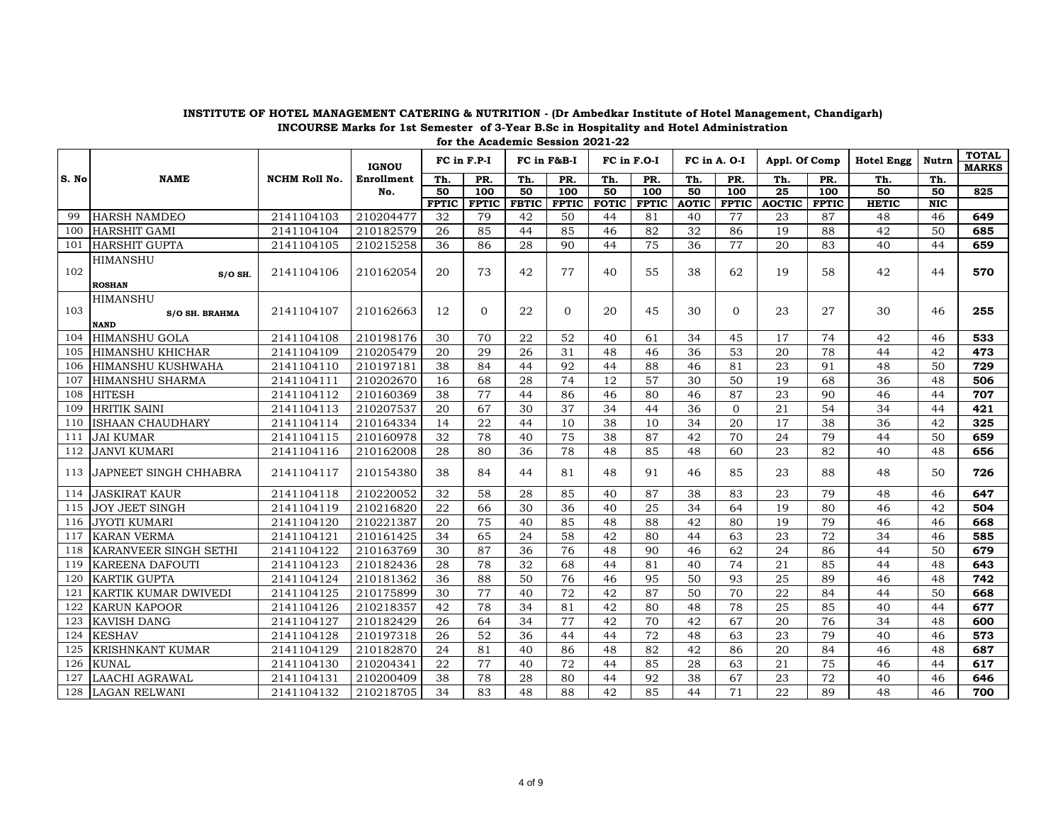|       |                                                         |                      | <b>IGNOU</b> |              | FC in F.P-I  |              | FC in F&B-I  | FC in F.O-I  |              | FC in A. O-I |              | Appl. Of Comp   |              | <b>Hotel Engg</b> | Nutrn      | <b>TOTAL</b><br><b>MARKS</b> |
|-------|---------------------------------------------------------|----------------------|--------------|--------------|--------------|--------------|--------------|--------------|--------------|--------------|--------------|-----------------|--------------|-------------------|------------|------------------------------|
| S. No | <b>NAME</b>                                             | <b>NCHM Roll No.</b> | Enrollment   | Th.          | PR.          | Th.          | PR.          | Th.          | PR.          | Th.          | PR.          | Th.             | PR.          | Th.               | Th.        |                              |
|       |                                                         |                      | No.          | 50           | 100          | 50           | 100          | 50           | 100          | 50           | 100          | $\overline{25}$ | 100          | 50                | 50         | 825                          |
|       |                                                         |                      |              | <b>FPTIC</b> | <b>FPTIC</b> | <b>FBTIC</b> | <b>FPTIC</b> | <b>FOTIC</b> | <b>FPTIC</b> | <b>AOTIC</b> | <b>FPTIC</b> | <b>AOCTIC</b>   | <b>FPTIC</b> | <b>HETIC</b>      | <b>NIC</b> |                              |
| 99    | <b>HARSH NAMDEO</b>                                     | 2141104103           | 210204477    | 32           | 79           | 42           | 50           | 44           | 81           | 40           | 77           | 23              | 87           | 48                | 46         | 649                          |
| 100   | <b>HARSHIT GAMI</b>                                     | 2141104104           | 210182579    | 26           | 85           | 44           | 85           | 46           | 82           | 32           | 86           | 19              | 88           | 42                | 50         | 685                          |
| 101   | <b>HARSHIT GUPTA</b>                                    | 2141104105           | 210215258    | 36           | 86           | 28           | 90           | 44           | 75           | 36           | 77           | 20              | 83           | 40                | 44         | 659                          |
| 102   | HIMANSHU<br>$S/O$ SH.<br><b>ROSHAN</b>                  | 2141104106           | 210162054    | 20           | 73           | 42           | 77           | 40           | 55           | 38           | 62           | 19              | 58           | 42                | 44         | 570                          |
| 103   | <b>HIMANSHU</b><br><b>S/O SH. BRAHMA</b><br><b>NAND</b> | 2141104107           | 210162663    | 12           | $\Omega$     | 22           | $\Omega$     | 20           | 45           | 30           | $\Omega$     | 23              | 27           | 30                | 46         | 255                          |
| 104   | <b>HIMANSHU GOLA</b>                                    | 2141104108           | 210198176    | 30           | 70           | 22           | 52           | 40           | 61           | 34           | 45           | 17              | 74           | 42                | 46         | 533                          |
| 105   | <b>HIMANSHU KHICHAR</b>                                 | 2141104109           | 210205479    | 20           | 29           | 26           | 31           | 48           | 46           | 36           | 53           | 20              | 78           | 44                | 42         | 473                          |
| 106   | <b>HIMANSHU KUSHWAHA</b>                                | 2141104110           | 210197181    | 38           | 84           | 44           | 92           | 44           | 88           | 46           | 81           | 23              | 91           | 48                | 50         | 729                          |
| 107   | HIMANSHU SHARMA                                         | 2141104111           | 210202670    | 16           | 68           | 28           | 74           | 12           | 57           | 30           | 50           | 19              | 68           | 36                | 48         | 506                          |
| 108   | <b>HITESH</b>                                           | 2141104112           | 210160369    | 38           | 77           | 44           | 86           | 46           | 80           | 46           | 87           | 23              | 90           | 46                | 44         | 707                          |
| 109   | <b>HRITIK SAINI</b>                                     | 2141104113           | 210207537    | 20           | 67           | 30           | 37           | 34           | 44           | 36           | $\Omega$     | 21              | 54           | 34                | 44         | 421                          |
| 110   | <b>ISHAAN CHAUDHARY</b>                                 | 2141104114           | 210164334    | 14           | 22           | 44           | 10           | 38           | 10           | 34           | 20           | 17              | 38           | 36                | 42         | 325                          |
| 111   | <b>JAI KUMAR</b>                                        | 2141104115           | 210160978    | 32           | 78           | 40           | 75           | 38           | 87           | 42           | 70           | 24              | 79           | 44                | 50         | 659                          |
| 112   | <b>JANVI KUMARI</b>                                     | 2141104116           | 210162008    | 28           | 80           | 36           | 78           | 48           | 85           | 48           | 60           | 23              | 82           | 40                | 48         | 656                          |
| 113   | JAPNEET SINGH CHHABRA                                   | 2141104117           | 210154380    | 38           | 84           | 44           | 81           | 48           | 91           | 46           | 85           | 23              | 88           | 48                | 50         | 726                          |
| 114   | <b>JASKIRAT KAUR</b>                                    | 2141104118           | 210220052    | 32           | 58           | 28           | 85           | 40           | 87           | 38           | 83           | 23              | 79           | 48                | 46         | 647                          |
| 115   | <b>JOY JEET SINGH</b>                                   | 2141104119           | 210216820    | 22           | 66           | 30           | 36           | 40           | 25           | 34           | 64           | 19              | 80           | 46                | 42         | 504                          |
| 116   | <b>JYOTI KUMARI</b>                                     | 2141104120           | 210221387    | 20           | 75           | 40           | 85           | 48           | 88           | 42           | 80           | 19              | 79           | 46                | 46         | 668                          |
| 117   | <b>KARAN VERMA</b>                                      | 2141104121           | 210161425    | 34           | 65           | 24           | 58           | 42           | 80           | 44           | 63           | 23              | 72           | 34                | 46         | 585                          |
| 118   | KARANVEER SINGH SETHI                                   | 2141104122           | 210163769    | 30           | 87           | 36           | 76           | 48           | 90           | 46           | 62           | 24              | 86           | 44                | 50         | 679                          |
| 119   | <b>KAREENA DAFOUTI</b>                                  | 2141104123           | 210182436    | 28           | 78           | 32           | 68           | 44           | 81           | 40           | 74           | 21              | 85           | 44                | 48         | 643                          |
| 120   | <b>KARTIK GUPTA</b>                                     | 2141104124           | 210181362    | 36           | 88           | 50           | 76           | 46           | 95           | 50           | 93           | 25              | 89           | 46                | 48         | 742                          |
| 121   | KARTIK KUMAR DWIVEDI                                    | 2141104125           | 210175899    | 30           | 77           | 40           | 72           | 42           | 87           | 50           | 70           | 22              | 84           | 44                | 50         | 668                          |
| 122   | <b>KARUN KAPOOR</b>                                     | 2141104126           | 210218357    | 42           | 78           | 34           | 81           | 42           | 80           | 48           | 78           | 25              | 85           | 40                | 44         | 677                          |
| 123   | <b>KAVISH DANG</b>                                      | 2141104127           | 210182429    | 26           | 64           | 34           | 77           | 42           | 70           | 42           | 67           | 20              | 76           | 34                | 48         | 600                          |
| 124   | <b>KESHAV</b>                                           | 2141104128           | 210197318    | 26           | 52           | 36           | 44           | 44           | 72           | 48           | 63           | 23              | 79           | 40                | 46         | 573                          |
| 125   | <b>KRISHNKANT KUMAR</b>                                 | 2141104129           | 210182870    | 24           | 81           | 40           | 86           | 48           | 82           | 42           | 86           | 20              | 84           | 46                | 48         | 687                          |
| 126   | <b>KUNAL</b>                                            | 2141104130           | 210204341    | 22           | 77           | 40           | 72           | 44           | 85           | 28           | 63           | 21              | 75           | 46                | 44         | 617                          |
| 127   | LAACHI AGRAWAL                                          | 2141104131           | 210200409    | 38           | 78           | 28           | 80           | 44           | 92           | 38           | 67           | 23              | 72           | 40                | 46         | 646                          |
| 128   | <b>LAGAN RELWANI</b>                                    | 2141104132           | 210218705    | 34           | 83           | 48           | 88           | 42           | 85           | 44           | 71           | 22              | 89           | 48                | 46         | 700                          |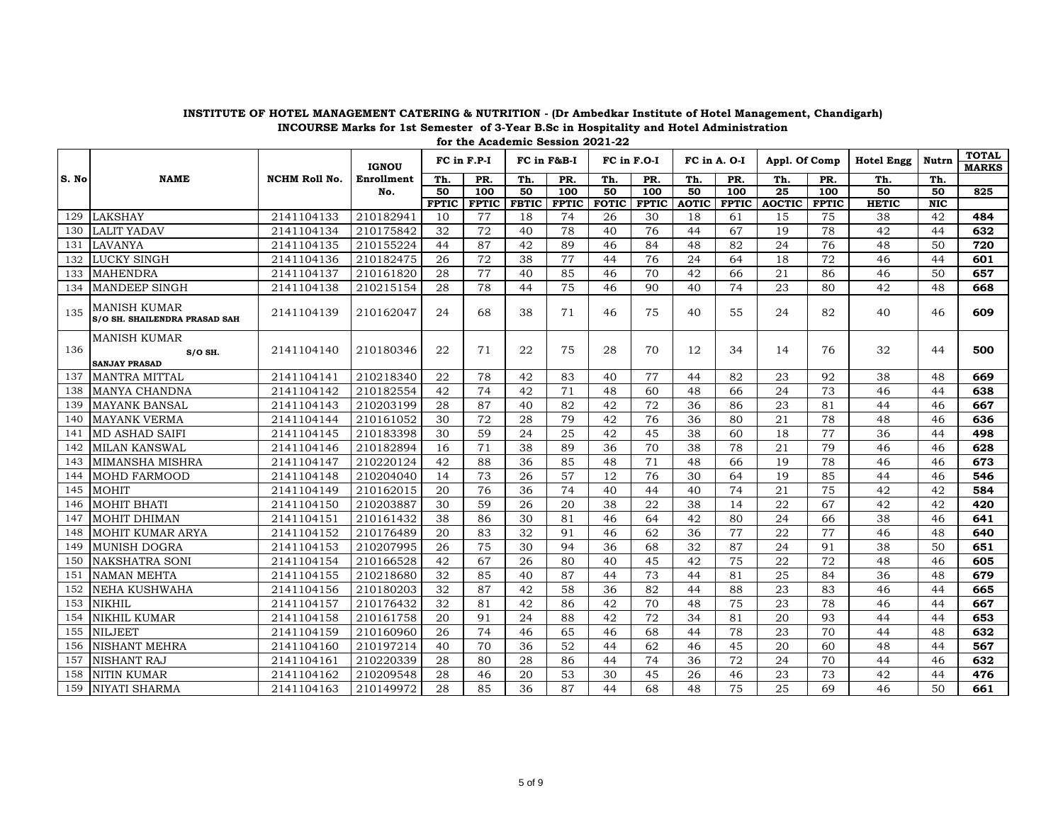|       |                                                          |                      | <b>IGNOU</b> |              | FC in F.P-I  |              | FC in F&B-I      |              | FC in F.O-I  | FC in A. O-I |              | Appl. Of Comp   |              | <b>Hotel Engg</b> | Nutrn      | <b>TOTAL</b><br><b>MARKS</b> |
|-------|----------------------------------------------------------|----------------------|--------------|--------------|--------------|--------------|------------------|--------------|--------------|--------------|--------------|-----------------|--------------|-------------------|------------|------------------------------|
| S. No | <b>NAME</b>                                              | <b>NCHM Roll No.</b> | Enrollment   | Th.          | PR.          | Th.          | PR.              | Th.          | PR.          | Th.          | PR.          | Th.             | PR.          | Th.               | Th.        |                              |
|       |                                                          |                      | No.          | 50           | 100          | 50           | $\overline{100}$ | 50           | 100          | 50           | 100          | $\overline{25}$ | 100          | 50                | 50         | 825                          |
|       |                                                          |                      |              | <b>FPTIC</b> | <b>FPTIC</b> | <b>FBTIC</b> | <b>FPTIC</b>     | <b>FOTIC</b> | <b>FPTIC</b> | <b>AOTIC</b> | <b>FPTIC</b> | <b>AOCTIC</b>   | <b>FPTIC</b> | <b>HETIC</b>      | <b>NIC</b> |                              |
| 129   | <b>LAKSHAY</b>                                           | 2141104133           | 210182941    | 10           | 77           | 18           | 74               | 26           | 30           | 18           | 61           | 15              | 75           | 38                | 42         | 484                          |
| 130   | <b>LALIT YADAV</b>                                       | 2141104134           | 210175842    | 32           | 72           | 40           | 78               | 40           | 76           | 44           | 67           | 19              | 78           | 42                | 44         | 632                          |
| 131   | <b>LAVANYA</b>                                           | 2141104135           | 210155224    | 44           | 87           | 42           | 89               | 46           | 84           | 48           | 82           | 24              | 76           | 48                | 50         | 720                          |
| 132   | <b>LUCKY SINGH</b>                                       | 2141104136           | 210182475    | 26           | 72           | 38           | 77               | 44           | 76           | 24           | 64           | 18              | 72           | 46                | 44         | 601                          |
| 133   | <b>MAHENDRA</b>                                          | 2141104137           | 210161820    | 28           | 77           | 40           | 85               | 46           | 70           | 42           | 66           | 21              | 86           | 46                | 50         | 657                          |
| 134   | <b>MANDEEP SINGH</b>                                     | 2141104138           | 210215154    | 28           | 78           | 44           | 75               | 46           | 90           | 40           | 74           | 23              | 80           | 42                | 48         | 668                          |
| 135   | <b>MANISH KUMAR</b><br>S/O SH. SHAILENDRA PRASAD SAH     | 2141104139           | 210162047    | 24           | 68           | 38           | 71               | 46           | 75           | 40           | 55           | 24              | 82           | 40                | 46         | 609                          |
| 136   | <b>MANISH KUMAR</b><br>$S/O$ SH.<br><b>SANJAY PRASAD</b> | 2141104140           | 210180346    | 22           | 71           | 22           | 75               | 28           | 70           | 12           | 34           | 14              | 76           | 32                | 44         | 500                          |
| 137   | <b>MANTRA MITTAL</b>                                     | 2141104141           | 210218340    | 22           | 78           | 42           | 83               | 40           | 77           | 44           | 82           | 23              | 92           | 38                | 48         | 669                          |
| 138   | <b>MANYA CHANDNA</b>                                     | 2141104142           | 210182554    | 42           | 74           | 42           | 71               | 48           | 60           | 48           | 66           | 24              | 73           | 46                | 44         | 638                          |
| 139   | <b>MAYANK BANSAL</b>                                     | 2141104143           | 210203199    | 28           | 87           | 40           | 82               | 42           | 72           | 36           | 86           | 23              | 81           | 44                | 46         | 667                          |
| 140   | <b>MAYANK VERMA</b>                                      | 2141104144           | 210161052    | 30           | 72           | 28           | 79               | 42           | 76           | 36           | 80           | 21              | 78           | 48                | 46         | 636                          |
| 141   | <b>MD ASHAD SAIFI</b>                                    | 2141104145           | 210183398    | 30           | 59           | 24           | 25               | 42           | 45           | 38           | 60           | 18              | 77           | 36                | 44         | 498                          |
| 142   | <b>MILAN KANSWAL</b>                                     | 2141104146           | 210182894    | 16           | 71           | 38           | 89               | 36           | 70           | 38           | 78           | 21              | 79           | 46                | 46         | 628                          |
| 143   | <b>MIMANSHA MISHRA</b>                                   | 2141104147           | 210220124    | 42           | 88           | 36           | 85               | 48           | 71           | 48           | 66           | 19              | 78           | 46                | 46         | 673                          |
| 144   | <b>MOHD FARMOOD</b>                                      | 2141104148           | 210204040    | 14           | 73           | 26           | 57               | 12           | 76           | 30           | 64           | 19              | 85           | 44                | 46         | 546                          |
| 145   | <b>MOHIT</b>                                             | 2141104149           | 210162015    | 20           | 76           | 36           | 74               | 40           | 44           | 40           | 74           | 21              | 75           | 42                | 42         | 584                          |
| 146   | MOHIT BHATI                                              | 2141104150           | 210203887    | 30           | 59           | 26           | 20               | 38           | 22           | 38           | 14           | 22              | 67           | 42                | 42         | 420                          |
| 147   | <b>MOHIT DHIMAN</b>                                      | 2141104151           | 210161432    | 38           | 86           | 30           | 81               | 46           | 64           | 42           | 80           | 24              | 66           | 38                | 46         | 641                          |
| 148   | MOHIT KUMAR ARYA                                         | 2141104152           | 210176489    | 20           | 83           | 32           | 91               | 46           | 62           | 36           | 77           | 22              | 77           | 46                | 48         | 640                          |
| 149   | <b>MUNISH DOGRA</b>                                      | 2141104153           | 210207995    | 26           | 75           | 30           | 94               | 36           | 68           | 32           | 87           | 24              | 91           | 38                | 50         | 651                          |
| 150   | <b>NAKSHATRA SONI</b>                                    | 2141104154           | 210166528    | 42           | 67           | 26           | 80               | 40           | 45           | 42           | 75           | 22              | 72           | 48                | 46         | 605                          |
| 151   | <b>NAMAN MEHTA</b>                                       | 2141104155           | 210218680    | 32           | 85           | 40           | 87               | 44           | 73           | 44           | 81           | 25              | 84           | 36                | 48         | 679                          |
| 152   | <b>NEHA KUSHWAHA</b>                                     | 2141104156           | 210180203    | 32           | 87           | 42           | 58               | 36           | 82           | 44           | 88           | 23              | 83           | 46                | 44         | 665                          |
| 153   | <b>NIKHIL</b>                                            | 2141104157           | 210176432    | 32           | 81           | 42           | 86               | 42           | 70           | 48           | 75           | 23              | 78           | 46                | 44         | 667                          |
| 154   | <b>NIKHIL KUMAR</b>                                      | 2141104158           | 210161758    | 20           | 91           | 24           | 88               | 42           | 72           | 34           | 81           | 20              | 93           | 44                | 44         | 653                          |
| 155   | <b>NILJEET</b>                                           | 2141104159           | 210160960    | 26           | 74           | 46           | 65               | 46           | 68           | 44           | 78           | 23              | 70           | 44                | 48         | 632                          |
| 156   | <b>NISHANT MEHRA</b>                                     | 2141104160           | 210197214    | 40           | 70           | 36           | 52               | 44           | 62           | 46           | 45           | 20              | 60           | 48                | 44         | 567                          |
| 157   | <b>NISHANT RAJ</b>                                       | 2141104161           | 210220339    | 28           | 80           | 28           | 86               | 44           | 74           | 36           | 72           | 24              | 70           | 44                | 46         | 632                          |
| 158   | <b>NITIN KUMAR</b>                                       | 2141104162           | 210209548    | 28           | 46           | 20           | 53               | 30           | 45           | 26           | 46           | 23              | 73           | 42                | 44         | 476                          |
| 159   | <b>NIYATI SHARMA</b>                                     | 2141104163           | 210149972    | 28           | 85           | 36           | 87               | 44           | 68           | 48           | 75           | 25              | 69           | 46                | 50         | 661                          |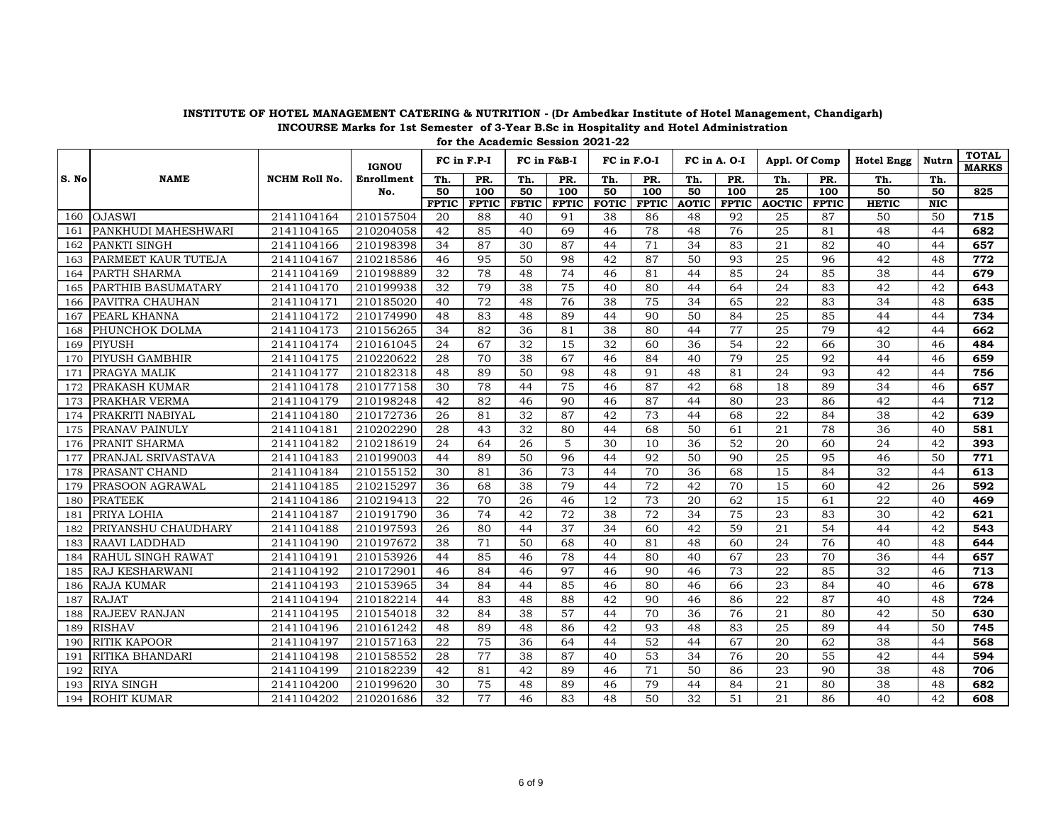|       |                          |                      | <b>IGNOU</b> |              | FC in F.P-I  |              | FC in F&B-I  | FC in F.O-I  |              | FC in A. O-I |              | Appl. Of Comp   |              | <b>Hotel Engg</b> | Nutrn      | <b>TOTAL</b><br><b>MARKS</b> |
|-------|--------------------------|----------------------|--------------|--------------|--------------|--------------|--------------|--------------|--------------|--------------|--------------|-----------------|--------------|-------------------|------------|------------------------------|
| S. No | <b>NAME</b>              | <b>NCHM Roll No.</b> | Enrollment   | Th.          | PR.          | Th.          | PR.          | Th.          | PR.          | Th.          | PR.          | Th.             | PR.          | Th.               | Th.        |                              |
|       |                          |                      | No.          | 50           | 100          | 50           | 100          | 50           | 100          | 50           | 100          | $\overline{25}$ | 100          | 50                | 50         | 825                          |
|       |                          |                      |              | <b>FPTIC</b> | <b>FPTIC</b> | <b>FBTIC</b> | <b>FPTIC</b> | <b>FOTIC</b> | <b>FPTIC</b> | <b>AOTIC</b> | <b>FPTIC</b> | <b>AOCTIC</b>   | <b>FPTIC</b> | <b>HETIC</b>      | <b>NIC</b> |                              |
| 160   | <b>OJASWI</b>            | 2141104164           | 210157504    | 20           | 88           | 40           | 91           | 38           | 86           | 48           | 92           | 25              | 87           | 50                | 50         | 715                          |
| 161   | PANKHUDI MAHESHWARI      | 2141104165           | 210204058    | 42           | 85           | 40           | 69           | 46           | 78           | 48           | 76           | 25              | 81           | 48                | 44         | 682                          |
| 162   | <b>PANKTI SINGH</b>      | 2141104166           | 210198398    | 34           | 87           | 30           | 87           | 44           | 71           | 34           | 83           | 21              | 82           | 40                | 44         | 657                          |
| 163   | PARMEET KAUR TUTEJA      | 2141104167           | 210218586    | 46           | 95           | 50           | 98           | 42           | 87           | 50           | 93           | 25              | 96           | 42                | 48         | 772                          |
| 164   | <b>PARTH SHARMA</b>      | 2141104169           | 210198889    | 32           | 78           | 48           | 74           | 46           | 81           | 44           | 85           | 24              | 85           | 38                | 44         | 679                          |
| 165   | PARTHIB BASUMATARY       | 2141104170           | 210199938    | 32           | 79           | 38           | 75           | 40           | 80           | 44           | 64           | 24              | 83           | 42                | 42         | 643                          |
| 166   | PAVITRA CHAUHAN          | 2141104171           | 210185020    | 40           | 72           | 48           | 76           | 38           | 75           | 34           | 65           | 22              | 83           | 34                | 48         | 635                          |
| 167   | PEARL KHANNA             | 2141104172           | 210174990    | 48           | 83           | 48           | 89           | 44           | 90           | 50           | 84           | 25              | 85           | 44                | 44         | 734                          |
| 168   | PHUNCHOK DOLMA           | 2141104173           | 210156265    | 34           | 82           | 36           | 81           | 38           | 80           | 44           | 77           | 25              | 79           | 42                | 44         | 662                          |
| 169   | <b>PIYUSH</b>            | 2141104174           | 210161045    | 24           | 67           | 32           | 15           | 32           | 60           | 36           | 54           | 22              | 66           | 30                | 46         | 484                          |
| 170   | PIYUSH GAMBHIR           | 2141104175           | 210220622    | 28           | 70           | 38           | 67           | 46           | 84           | 40           | 79           | 25              | 92           | 44                | 46         | 659                          |
| 171   | PRAGYA MALIK             | 2141104177           | 210182318    | 48           | 89           | 50           | 98           | 48           | 91           | 48           | 81           | 24              | 93           | 42                | 44         | 756                          |
| 172   | PRAKASH KUMAR            | 2141104178           | 210177158    | 30           | 78           | 44           | 75           | 46           | 87           | 42           | 68           | 18              | 89           | 34                | 46         | 657                          |
| 173   | PRAKHAR VERMA            | 2141104179           | 210198248    | 42           | 82           | 46           | 90           | 46           | 87           | 44           | 80           | 23              | 86           | 42                | 44         | 712                          |
| 174   | PRAKRITI NABIYAL         | 2141104180           | 210172736    | 26           | 81           | 32           | 87           | 42           | 73           | 44           | 68           | 22              | 84           | 38                | 42         | 639                          |
| 175   | PRANAV PAINULY           | 2141104181           | 210202290    | 28           | 43           | 32           | 80           | 44           | 68           | 50           | 61           | 21              | 78           | 36                | 40         | 581                          |
| 176   | PRANIT SHARMA            | 2141104182           | 210218619    | 24           | 64           | 26           | 5            | 30           | 10           | 36           | 52           | 20              | 60           | 24                | 42         | 393                          |
| 177   | PRANJAL SRIVASTAVA       | 2141104183           | 210199003    | 44           | 89           | 50           | 96           | 44           | 92           | 50           | 90           | 25              | 95           | 46                | 50         | 771                          |
| 178   | PRASANT CHAND            | 2141104184           | 210155152    | 30           | 81           | 36           | 73           | 44           | 70           | 36           | 68           | 15              | 84           | 32                | 44         | 613                          |
| 179   | PRASOON AGRAWAL          | 2141104185           | 210215297    | 36           | 68           | 38           | 79           | 44           | 72           | 42           | 70           | 15              | 60           | 42                | 26         | 592                          |
| 180   | <b>PRATEEK</b>           | 2141104186           | 210219413    | 22           | 70           | 26           | 46           | 12           | 73           | 20           | 62           | 15              | 61           | 22                | 40         | 469                          |
| 181   | PRIYA LOHIA              | 2141104187           | 210191790    | 36           | 74           | 42           | 72           | 38           | 72           | 34           | 75           | 23              | 83           | 30                | 42         | 621                          |
| 182   | PRIYANSHU CHAUDHARY      | 2141104188           | 210197593    | 26           | 80           | 44           | 37           | 34           | 60           | 42           | 59           | 21              | 54           | 44                | 42         | 543                          |
| 183   | RAAVI LADDHAD            | 2141104190           | 210197672    | 38           | 71           | 50           | 68           | 40           | 81           | 48           | 60           | 24              | 76           | 40                | 48         | 644                          |
| 184   | <b>RAHUL SINGH RAWAT</b> | 2141104191           | 210153926    | 44           | 85           | 46           | 78           | 44           | 80           | 40           | 67           | 23              | 70           | 36                | 44         | 657                          |
| 185   | <b>RAJ KESHARWANI</b>    | 2141104192           | 210172901    | 46           | 84           | 46           | 97           | 46           | 90           | 46           | 73           | 22              | 85           | 32                | 46         | 713                          |
| 186   | <b>RAJA KUMAR</b>        | 2141104193           | 210153965    | 34           | 84           | 44           | 85           | 46           | 80           | 46           | 66           | 23              | 84           | 40                | 46         | 678                          |
| 187   | <b>RAJAT</b>             | 2141104194           | 210182214    | 44           | 83           | 48           | 88           | 42           | 90           | 46           | 86           | 22              | 87           | 40                | 48         | 724                          |
| 188   | <b>RAJEEV RANJAN</b>     | 2141104195           | 210154018    | 32           | 84           | 38           | 57           | 44           | 70           | 36           | 76           | 21              | 80           | 42                | 50         | 630                          |
| 189   | <b>RISHAV</b>            | 2141104196           | 210161242    | 48           | 89           | 48           | 86           | 42           | 93           | 48           | 83           | 25              | 89           | 44                | 50         | 745                          |
| 190   | <b>RITIK KAPOOR</b>      | 2141104197           | 210157163    | 22           | 75           | 36           | 64           | 44           | 52           | 44           | 67           | 20              | 62           | 38                | 44         | 568                          |
| 191   | RITIKA BHANDARI          | 2141104198           | 210158552    | 28           | 77           | 38           | 87           | 40           | 53           | 34           | 76           | 20              | 55           | 42                | 44         | 594                          |
| 192   | <b>RIYA</b>              | 2141104199           | 210182239    | 42           | 81           | 42           | 89           | 46           | 71           | 50           | 86           | 23              | 90           | 38                | 48         | 706                          |
| 193   | <b>RIYA SINGH</b>        | 2141104200           | 210199620    | 30           | 75           | 48           | 89           | 46           | 79           | 44           | 84           | 21              | 80           | 38                | 48         | 682                          |
| 194   | <b>ROHIT KUMAR</b>       | 2141104202           | 210201686    | 32           | 77           | 46           | 83           | 48           | 50           | 32           | 51           | 21              | 86           | 40                | 42         | 608                          |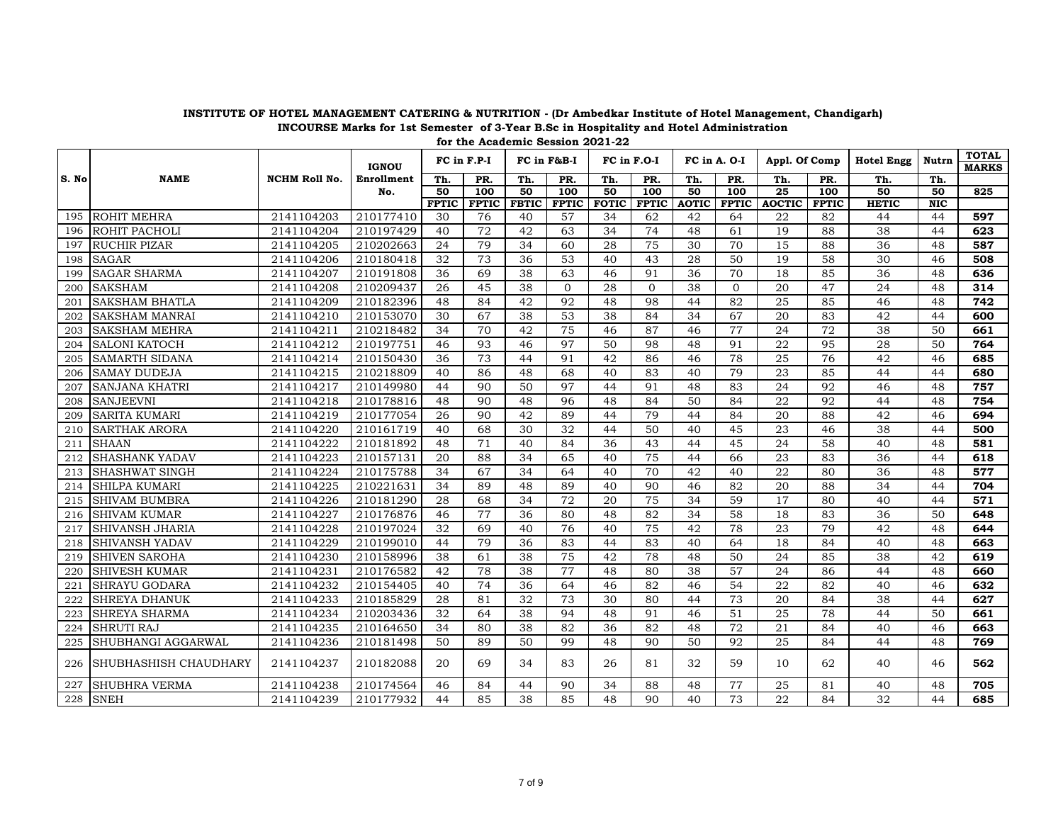|       |                              |                      | <b>IGNOU</b> |              | FC in F.P-I  |                 | FC in F&B-I      | FC in F.O-I  |                  |              | FC in A. O-I | Appl. Of Comp   |              | <b>Hotel Engg</b> | Nutrn      | <b>TOTAL</b><br><b>MARKS</b> |
|-------|------------------------------|----------------------|--------------|--------------|--------------|-----------------|------------------|--------------|------------------|--------------|--------------|-----------------|--------------|-------------------|------------|------------------------------|
| S. No | <b>NAME</b>                  | <b>NCHM Roll No.</b> | Enrollment   | Th.          | PR.          | Th.             | PR.              | Th.          | PR.              | Th.          | PR.          | Th.             | PR.          | Th.               | Th.        |                              |
|       |                              |                      | No.          | 50           | 100          | 50              | $\overline{100}$ | 50           | $\overline{100}$ | 50           | 100          | $\overline{25}$ | 100          | 50                | 50         | 825                          |
|       |                              |                      |              | <b>FPTIC</b> | <b>FPTIC</b> | <b>FBTIC</b>    | <b>FPTIC</b>     | <b>FOTIC</b> | <b>FPTIC</b>     | <b>AOTIC</b> | <b>FPTIC</b> | <b>AOCTIC</b>   | <b>FPTIC</b> | <b>HETIC</b>      | <b>NIC</b> |                              |
| 195   | <b>ROHIT MEHRA</b>           | 2141104203           | 210177410    | 30           | 76           | 40              | 57               | 34           | 62               | 42           | 64           | 22              | 82           | 44                | 44         | 597                          |
| 196   | ROHIT PACHOLI                | 2141104204           | 210197429    | 40           | 72           | 42              | 63               | 34           | 74               | 48           | 61           | 19              | 88           | 38                | 44         | 623                          |
| 197   | <b>RUCHIR PIZAR</b>          | 2141104205           | 210202663    | 24           | 79           | 34              | 60               | 28           | 75               | 30           | 70           | 15              | 88           | 36                | 48         | 587                          |
| 198   | <b>SAGAR</b>                 | 2141104206           | 210180418    | 32           | 73           | 36              | 53               | 40           | 43               | 28           | 50           | 19              | 58           | 30                | 46         | 508                          |
| 199   | <b>SAGAR SHARMA</b>          | 2141104207           | 210191808    | 36           | 69           | 38              | 63               | 46           | 91               | 36           | 70           | 18              | 85           | 36                | 48         | 636                          |
| 200   | <b>SAKSHAM</b>               | 2141104208           | 210209437    | 26           | 45           | 38              | $\Omega$         | 28           | $\mathbf{0}$     | 38           | $\Omega$     | 20              | 47           | 24                | 48         | 314                          |
| 201   | <b>SAKSHAM BHATLA</b>        | 2141104209           | 210182396    | 48           | 84           | 42              | 92               | 48           | 98               | 44           | 82           | 25              | 85           | 46                | 48         | 742                          |
| 202   | <b>SAKSHAM MANRAI</b>        | 2141104210           | 210153070    | 30           | 67           | 38              | 53               | 38           | 84               | 34           | 67           | 20              | 83           | 42                | 44         | 600                          |
| 203   | <b>SAKSHAM MEHRA</b>         | 2141104211           | 210218482    | 34           | 70           | 42              | 75               | 46           | 87               | 46           | 77           | 24              | 72           | 38                | 50         | 661                          |
| 204   | <b>SALONI KATOCH</b>         | 2141104212           | 210197751    | 46           | 93           | 46              | 97               | 50           | 98               | 48           | 91           | 22              | 95           | 28                | 50         | 764                          |
| 205   | <b>SAMARTH SIDANA</b>        | 2141104214           | 210150430    | 36           | 73           | 44              | 91               | 42           | 86               | 46           | 78           | 25              | 76           | 42                | 46         | 685                          |
| 206   | <b>SAMAY DUDEJA</b>          | 2141104215           | 210218809    | 40           | 86           | 48              | 68               | 40           | 83               | 40           | 79           | 23              | 85           | 44                | 44         | 680                          |
| 207   | <b>SANJANA KHATRI</b>        | 2141104217           | 210149980    | 44           | 90           | 50              | 97               | 44           | 91               | 48           | 83           | 24              | 92           | 46                | 48         | 757                          |
| 208   | <b>SANJEEVNI</b>             | 2141104218           | 210178816    | 48           | 90           | 48              | 96               | 48           | 84               | 50           | 84           | 22              | 92           | 44                | 48         | 754                          |
| 209   | <b>SARITA KUMARI</b>         | 2141104219           | 210177054    | 26           | 90           | 42              | 89               | 44           | 79               | 44           | 84           | 20              | 88           | 42                | 46         | 694                          |
| 210   | <b>SARTHAK ARORA</b>         | 2141104220           | 210161719    | 40           | 68           | 30              | 32               | 44           | 50               | 40           | 45           | $\overline{23}$ | 46           | 38                | 44         | 500                          |
| 211   | <b>SHAAN</b>                 | 2141104222           | 210181892    | 48           | 71           | 40              | 84               | 36           | 43               | 44           | 45           | 24              | 58           | 40                | 48         | 581                          |
| 212   | <b>SHASHANK YADAV</b>        | 2141104223           | 210157131    | 20           | 88           | 34              | 65               | 40           | 75               | 44           | 66           | 23              | 83           | 36                | 44         | 618                          |
| 213   | <b>SHASHWAT SINGH</b>        | 2141104224           | 210175788    | 34           | 67           | 34              | 64               | 40           | 70               | 42           | 40           | 22              | 80           | 36                | 48         | 577                          |
| 214   | <b>SHILPA KUMARI</b>         | 2141104225           | 210221631    | 34           | 89           | 48              | 89               | 40           | 90               | 46           | 82           | 20              | 88           | 34                | 44         | 704                          |
| 215   | <b>SHIVAM BUMBRA</b>         | 2141104226           | 210181290    | 28           | 68           | 34              | 72               | 20           | 75               | 34           | 59           | 17              | 80           | 40                | 44         | 571                          |
| 216   | <b>SHIVAM KUMAR</b>          | 2141104227           | 210176876    | 46           | 77           | 36              | 80               | 48           | 82               | 34           | 58           | 18              | 83           | 36                | 50         | 648                          |
| 217   | <b>SHIVANSH JHARIA</b>       | 2141104228           | 210197024    | 32           | 69           | 40              | 76               | 40           | $\overline{75}$  | 42           | 78           | 23              | 79           | 42                | 48         | 644                          |
| 218   | <b>SHIVANSH YADAV</b>        | 2141104229           | 210199010    | 44           | 79           | $\overline{36}$ | 83               | 44           | 83               | 40           | 64           | 18              | 84           | 40                | 48         | 663                          |
| 219   | <b>SHIVEN SAROHA</b>         | 2141104230           | 210158996    | 38           | 61           | 38              | 75               | 42           | 78               | 48           | 50           | 24              | 85           | 38                | 42         | 619                          |
| 220   | <b>SHIVESH KUMAR</b>         | 2141104231           | 210176582    | 42           | 78           | 38              | 77               | 48           | 80               | 38           | 57           | 24              | 86           | 44                | 48         | 660                          |
| 221   | <b>SHRAYU GODARA</b>         | 2141104232           | 210154405    | 40           | 74           | 36              | 64               | 46           | 82               | 46           | 54           | 22              | 82           | 40                | 46         | 632                          |
| 222   | <b>SHREYA DHANUK</b>         | 2141104233           | 210185829    | 28           | 81           | 32              | 73               | 30           | 80               | 44           | 73           | 20              | 84           | 38                | 44         | 627                          |
| 223   | <b>SHREYA SHARMA</b>         | 2141104234           | 210203436    | 32           | 64           | 38              | 94               | 48           | 91               | 46           | 51           | 25              | 78           | 44                | 50         | 661                          |
| 224   | <b>SHRUTI RAJ</b>            | 2141104235           | 210164650    | 34           | 80           | 38              | 82               | 36           | 82               | 48           | 72           | 21              | 84           | 40                | 46         | 663                          |
| 225   | SHUBHANGI AGGARWAL           | 2141104236           | 210181498    | 50           | 89           | 50              | 99               | 48           | 90               | 50           | 92           | 25              | 84           | 44                | 48         | 769                          |
| 226   | <b>SHUBHASHISH CHAUDHARY</b> | 2141104237           | 210182088    | 20           | 69           | 34              | 83               | 26           | 81               | 32           | 59           | 10              | 62           | 40                | 46         | 562                          |
| 227   | <b>SHUBHRA VERMA</b>         | 2141104238           | 210174564    | 46           | 84           | 44              | 90               | 34           | 88               | 48           | 77           | 25              | 81           | 40                | 48         | 705                          |
| 228   | <b>SNEH</b>                  | 2141104239           | 210177932    | 44           | 85           | 38              | 85               | 48           | 90               | 40           | 73           | 22              | 84           | 32                | 44         | 685                          |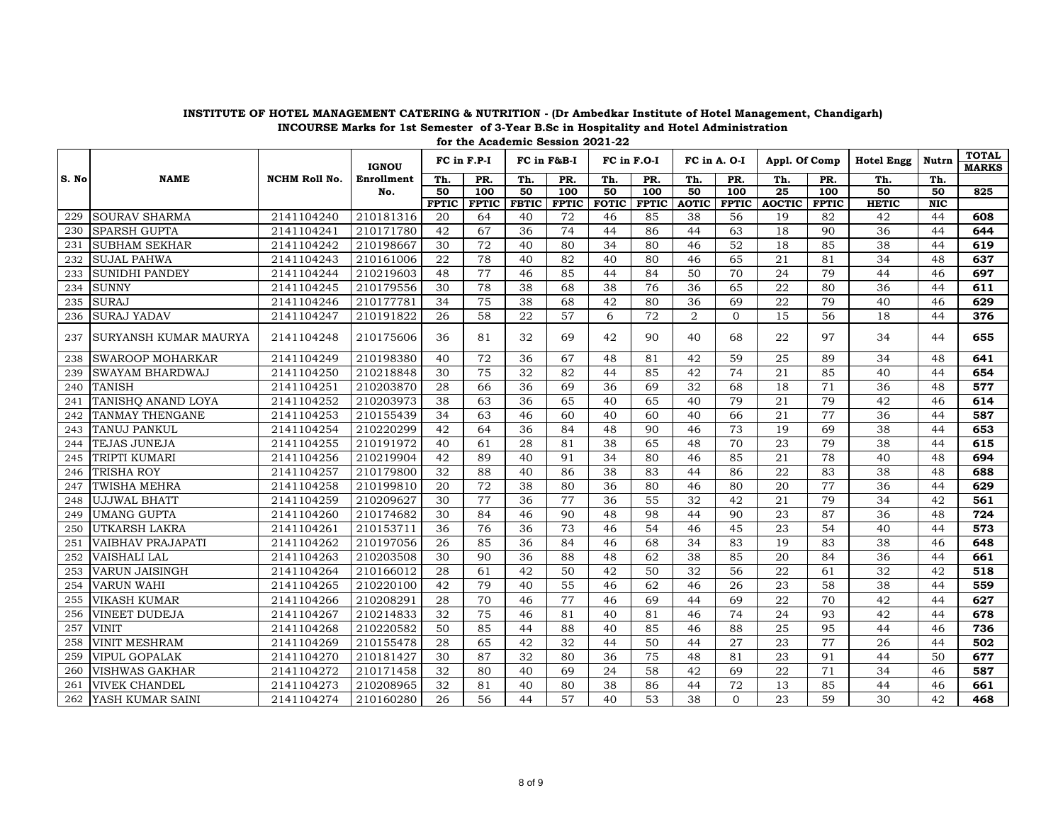|       |                          |                      |                   |                    | FC in F.P-I        |                    | FC in F&B-I        |                    | FC in F.O-I        | FC in A. O-I       |                    | Appl. Of Comp       |                    | <b>Hotel Engg</b>  | Nutrn                         | <b>TOTAL</b> |
|-------|--------------------------|----------------------|-------------------|--------------------|--------------------|--------------------|--------------------|--------------------|--------------------|--------------------|--------------------|---------------------|--------------------|--------------------|-------------------------------|--------------|
|       |                          |                      | <b>IGNOU</b>      |                    |                    |                    |                    |                    |                    |                    |                    |                     |                    |                    |                               | <b>MARKS</b> |
| S. No | <b>NAME</b>              | <b>NCHM Roll No.</b> | <b>Enrollment</b> | Th.                | PR.                | Th.                | PR.                | Th.                | PR.                | Th.                | PR.                | Th.                 | PR.                | Th.                | Th.                           |              |
|       |                          |                      | No.               | 50                 | 100                | 50                 | 100                | 50                 | 100                | 50                 | 100                | $\overline{25}$     | 100                | 50                 | 50                            | 825          |
| 229   | <b>SOURAV SHARMA</b>     | 2141104240           | 210181316         | <b>FPTIC</b><br>20 | <b>FPTIC</b><br>64 | <b>FBTIC</b><br>40 | <b>FPTIC</b><br>72 | <b>FOTIC</b><br>46 | <b>FPTIC</b><br>85 | <b>AOTIC</b><br>38 | <b>FPTIC</b><br>56 | <b>AOCTIC</b><br>19 | <b>FPTIC</b><br>82 | <b>HETIC</b><br>42 | $\overline{\text{NIC}}$<br>44 | 608          |
|       |                          |                      |                   |                    |                    |                    | 74                 |                    |                    |                    |                    | 18                  |                    | 36                 |                               |              |
| 230   | <b>SPARSH GUPTA</b>      | 2141104241           | 210171780         | 42                 | 67                 | 36                 |                    | 44                 | 86                 | 44                 | 63                 |                     | 90                 |                    | 44                            | 644          |
| 231   | <b>SUBHAM SEKHAR</b>     | 2141104242           | 210198667         | 30                 | 72                 | 40                 | 80                 | 34                 | 80                 | 46                 | 52                 | 18                  | 85                 | 38                 | 44                            | 619          |
| 232   | <b>SUJAL PAHWA</b>       | 2141104243           | 210161006         | 22                 | 78                 | 40                 | 82                 | 40                 | 80                 | 46                 | 65                 | 21                  | 81                 | 34                 | 48                            | 637          |
| 233   | <b>SUNIDHI PANDEY</b>    | 2141104244           | 210219603         | 48                 | 77                 | 46                 | 85                 | 44                 | 84                 | 50                 | 70                 | 24                  | 79                 | 44                 | 46                            | 697          |
| 234   | <b>SUNNY</b>             | 2141104245           | 210179556         | 30                 | 78                 | 38                 | 68                 | 38                 | 76                 | 36                 | 65                 | 22                  | 80                 | 36                 | 44                            | 611          |
| 235   | <b>SURAJ</b>             | 2141104246           | 210177781         | 34                 | 75                 | 38                 | 68                 | 42                 | 80                 | 36                 | 69                 | 22                  | 79                 | 40                 | 46                            | 629          |
| 236   | <b>SURAJ YADAV</b>       | 2141104247           | 210191822         | 26                 | 58                 | 22                 | 57                 | 6                  | 72                 | $\overline{2}$     | $\Omega$           | 15                  | 56                 | 18                 | 44                            | 376          |
| 237   | SURYANSH KUMAR MAURYA    | 2141104248           | 210175606         | 36                 | 81                 | 32                 | 69                 | 42                 | 90                 | 40                 | 68                 | 22                  | 97                 | 34                 | 44                            | 655          |
| 238   | SWAROOP MOHARKAR         | 2141104249           | 210198380         | 40                 | 72                 | 36                 | 67                 | 48                 | 81                 | 42                 | 59                 | 25                  | 89                 | 34                 | 48                            | 641          |
| 239   | SWAYAM BHARDWAJ          | 2141104250           | 210218848         | 30                 | 75                 | 32                 | 82                 | 44                 | 85                 | 42                 | 74                 | 21                  | 85                 | 40                 | 44                            | 654          |
| 240   | <b>TANISH</b>            | 2141104251           | 210203870         | 28                 | 66                 | 36                 | 69                 | 36                 | 69                 | 32                 | 68                 | 18                  | 71                 | 36                 | 48                            | 577          |
| 241   | TANISHQ ANAND LOYA       | 2141104252           | 210203973         | 38                 | 63                 | 36                 | 65                 | 40                 | 65                 | 40                 | 79                 | 21                  | 79                 | 42                 | 46                            | 614          |
| 242   | TANMAY THENGANE          | 2141104253           | 210155439         | 34                 | 63                 | 46                 | 60                 | 40                 | 60                 | 40                 | 66                 | 21                  | 77                 | 36                 | 44                            | 587          |
| 243   | TANUJ PANKUL             | 2141104254           | 210220299         | 42                 | 64                 | 36                 | 84                 | 48                 | 90                 | 46                 | 73                 | 19                  | 69                 | 38                 | 44                            | 653          |
| 244   | <b>TEJAS JUNEJA</b>      | 2141104255           | 210191972         | 40                 | 61                 | 28                 | 81                 | 38                 | 65                 | 48                 | 70                 | 23                  | 79                 | 38                 | 44                            | 615          |
| 245   | TRIPTI KUMARI            | 2141104256           | 210219904         | 42                 | 89                 | 40                 | 91                 | 34                 | 80                 | 46                 | 85                 | 21                  | 78                 | 40                 | 48                            | 694          |
| 246   | <b>TRISHA ROY</b>        | 2141104257           | 210179800         | 32                 | 88                 | 40                 | 86                 | 38                 | 83                 | 44                 | 86                 | 22                  | 83                 | 38                 | 48                            | 688          |
| 247   | <b>TWISHA MEHRA</b>      | 2141104258           | 210199810         | 20                 | 72                 | 38                 | 80                 | 36                 | 80                 | 46                 | 80                 | 20                  | 77                 | 36                 | 44                            | 629          |
| 248   | <b>UJJWAL BHATT</b>      | 2141104259           | 210209627         | 30                 | 77                 | 36                 | 77                 | 36                 | 55                 | 32                 | 42                 | 21                  | 79                 | 34                 | 42                            | 561          |
| 249   | <b>UMANG GUPTA</b>       | 2141104260           | 210174682         | 30                 | 84                 | 46                 | 90                 | 48                 | 98                 | 44                 | 90                 | 23                  | 87                 | 36                 | 48                            | 724          |
| 250   | UTKARSH LAKRA            | 2141104261           | 210153711         | 36                 | 76                 | 36                 | 73                 | 46                 | 54                 | 46                 | 45                 | 23                  | 54                 | 40                 | 44                            | 573          |
| 251   | <b>VAIBHAV PRAJAPATI</b> | 2141104262           | 210197056         | 26                 | 85                 | 36                 | 84                 | 46                 | 68                 | 34                 | 83                 | 19                  | 83                 | 38                 | 46                            | 648          |
| 252   | VAISHALI LAL             | 2141104263           | 210203508         | 30                 | 90                 | 36                 | 88                 | 48                 | 62                 | 38                 | 85                 | 20                  | 84                 | 36                 | 44                            | 661          |
| 253   | <b>VARUN JAISINGH</b>    | 2141104264           | 210166012         | 28                 | 61                 | 42                 | $\overline{50}$    | 42                 | 50                 | 32                 | 56                 | $\overline{22}$     | 61                 | $\overline{32}$    | 42                            | 518          |
| 254   | <b>VARUN WAHI</b>        | 2141104265           | 210220100         | 42                 | 79                 | 40                 | $\overline{55}$    | 46                 | 62                 | 46                 | 26                 | 23                  | 58                 | 38                 | 44                            | 559          |
| 255   | <b>VIKASH KUMAR</b>      | 2141104266           | 210208291         | 28                 | 70                 | 46                 | 77                 | 46                 | 69                 | 44                 | 69                 | 22                  | 70                 | 42                 | 44                            | 627          |
| 256   | <b>VINEET DUDEJA</b>     | 2141104267           | 210214833         | 32                 | 75                 | 46                 | 81                 | 40                 | 81                 | 46                 | 74                 | 24                  | 93                 | 42                 | 44                            | 678          |
| 257   | <b>VINIT</b>             | 2141104268           | 210220582         | 50                 | 85                 | 44                 | 88                 | 40                 | 85                 | 46                 | 88                 | 25                  | 95                 | 44                 | 46                            | 736          |
| 258   | <b>VINIT MESHRAM</b>     | 2141104269           | 210155478         | 28                 | 65                 | 42                 | 32                 | 44                 | 50                 | 44                 | 27                 | 23                  | 77                 | 26                 | 44                            | 502          |
| 259   | VIPUL GOPALAK            | 2141104270           | 210181427         | 30                 | 87                 | 32                 | 80                 | 36                 | 75                 | 48                 | 81                 | 23                  | 91                 | 44                 | 50                            | 677          |
| 260   | VISHWAS GAKHAR           | 2141104272           | 210171458         | 32                 | 80                 | 40                 | 69                 | 24                 | 58                 | 42                 | 69                 | 22                  | 71                 | 34                 | 46                            | 587          |
| 261   | VIVEK CHANDEL            | 2141104273           | 210208965         | 32                 | 81                 | 40                 | 80                 | 38                 | 86                 | 44                 | 72                 | 13                  | 85                 | 44                 | 46                            | 661          |
| 262   | YASH KUMAR SAINI         | 2141104274           | 210160280         | 26                 | 56                 | 44                 | 57                 | 40                 | 53                 | 38                 | $\Omega$           | 23                  | 59                 | 30                 | 42                            | 468          |